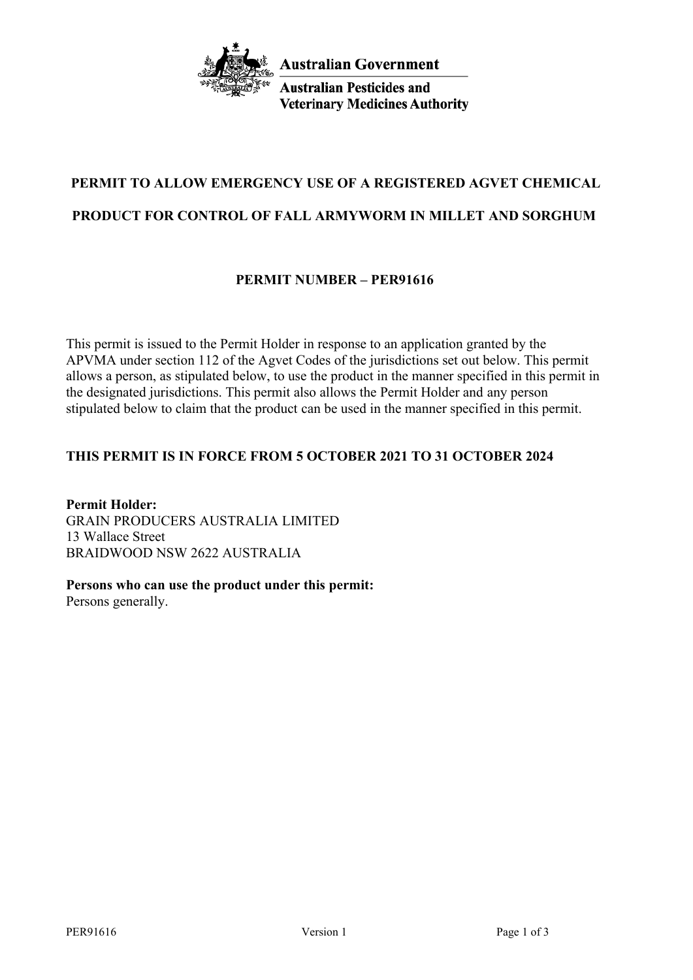

**Australian Pesticides and Veterinary Medicines Authority** 

# **PERMIT TO ALLOW EMERGENCY USE OF A REGISTERED AGVET CHEMICAL PRODUCT FOR CONTROL OF FALL ARMYWORM IN MILLET AND SORGHUM**

# **PERMIT NUMBER – PER91616**

This permit is issued to the Permit Holder in response to an application granted by the APVMA under section 112 of the Agvet Codes of the jurisdictions set out below. This permit allows a person, as stipulated below, to use the product in the manner specified in this permit in the designated jurisdictions. This permit also allows the Permit Holder and any person stipulated below to claim that the product can be used in the manner specified in this permit.

# **THIS PERMIT IS IN FORCE FROM 5 OCTOBER 2021 TO 31 OCTOBER 2024**

**Permit Holder:** GRAIN PRODUCERS AUSTRALIA LIMITED 13 Wallace Street BRAIDWOOD NSW 2622 AUSTRALIA

**Persons who can use the product under this permit:**

Persons generally.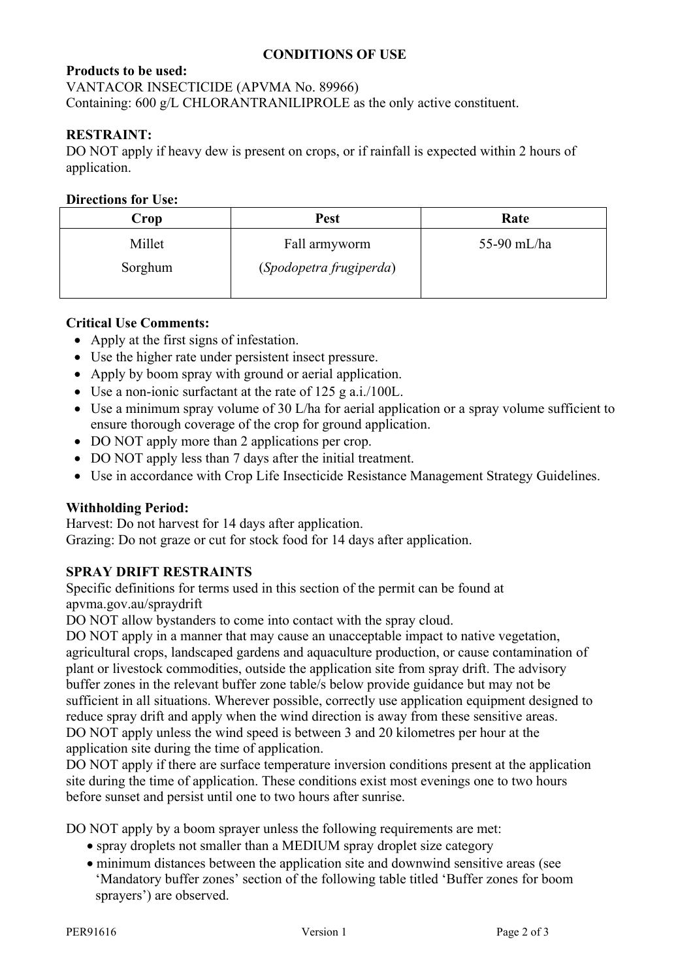# **CONDITIONS OF USE**

# **Products to be used:**

VANTACOR INSECTICIDE (APVMA No. 89966)

Containing: 600 g/L CHLORANTRANILIPROLE as the only active constituent.

# **RESTRAINT:**

DO NOT apply if heavy dew is present on crops, or if rainfall is expected within 2 hours of application.

### **Directions for Use:**

| Crop              | <b>Pest</b>                              | Rate        |
|-------------------|------------------------------------------|-------------|
| Millet<br>Sorghum | Fall armyworm<br>(Spodopetra frugiperda) | 55-90 mL/ha |

## **Critical Use Comments:**

- Apply at the first signs of infestation.
- Use the higher rate under persistent insect pressure.
- Apply by boom spray with ground or aerial application.
- Use a non-ionic surfactant at the rate of 125 g a.i./100L.
- Use a minimum spray volume of 30 L/ha for aerial application or a spray volume sufficient to ensure thorough coverage of the crop for ground application.
- DO NOT apply more than 2 applications per crop.
- DO NOT apply less than 7 days after the initial treatment.
- Use in accordance with Crop Life Insecticide Resistance Management Strategy Guidelines.

### **Withholding Period:**

Harvest: Do not harvest for 14 days after application. Grazing: Do not graze or cut for stock food for 14 days after application.

### **SPRAY DRIFT RESTRAINTS**

Specific definitions for terms used in this section of the permit can be found at apvma.gov.au/spraydrift

DO NOT allow bystanders to come into contact with the spray cloud.

DO NOT apply in a manner that may cause an unacceptable impact to native vegetation, agricultural crops, landscaped gardens and aquaculture production, or cause contamination of plant or livestock commodities, outside the application site from spray drift. The advisory buffer zones in the relevant buffer zone table/s below provide guidance but may not be sufficient in all situations. Wherever possible, correctly use application equipment designed to reduce spray drift and apply when the wind direction is away from these sensitive areas. DO NOT apply unless the wind speed is between 3 and 20 kilometres per hour at the application site during the time of application.

DO NOT apply if there are surface temperature inversion conditions present at the application site during the time of application. These conditions exist most evenings one to two hours before sunset and persist until one to two hours after sunrise.

DO NOT apply by a boom sprayer unless the following requirements are met:

- spray droplets not smaller than a MEDIUM spray droplet size category
- minimum distances between the application site and downwind sensitive areas (see 'Mandatory buffer zones' section of the following table titled 'Buffer zones for boom sprayers') are observed.